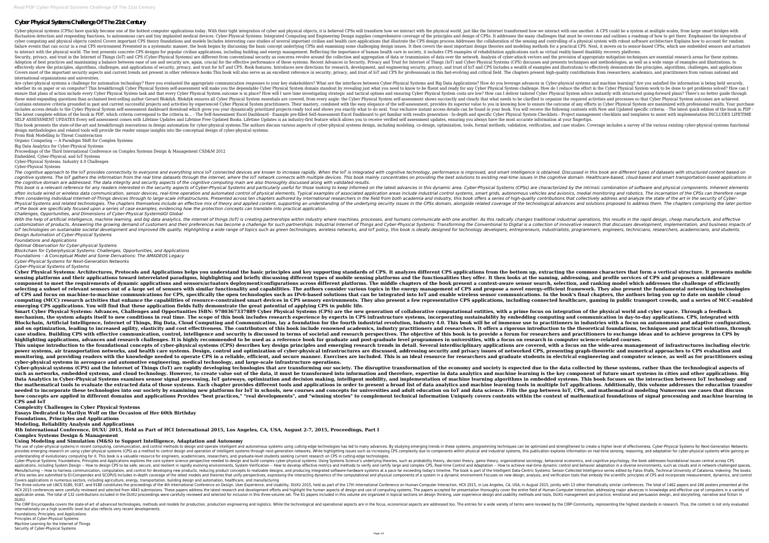# **Cyber Physical Systems Challenge Of The 21st Century**

Cyber-physical systems (CPSs) have quickly become one of the hottest computer applications today. With their tight integration of cyber and physical objects, it is believed CPSs will transformed how we interact with one an fluctuation detection and responding functions, to autonomous cars and tiny implanted medical devices. Cyber-Physical Systems: Integrated Computing and Engineering Design of CPSs. It addresses the many challenges that must cyber computing and physical objects control Covers important CPS theory foundations and models Includes interesting case studies of several important civilian and health care applications that illustrate the CPS design pr that can occur in a real CPS environment Presented in a systematic manner, the book begins by discussing the basic concept underlying CPSs and examining some challenging methods for a practical CPS. Next, it moves on to se to interact with the physical world. The text presents concrete CPS designs for popular civilian applications, including building and energy management. Reflecting the importance of human health care in society, it include Security, privacy, and trust in the Internet of Things (IoT) and CPS (Cyber-Physical Systems) are different from conventional security as concerns revolve around the provision of data over the network. Analysis of cyber-at Adoption of best practices and maintaining a balance between ease of use and security are, again, crucial for the effective performance of these systems. Recent Advances in Security, Privacy and Trust for Internet of Thing effectively show the principles, algorithms, challenges, and applications of security, privacy, and trust for IoT and CPS. Book features: Introduces new directions for research, development, and engineering security, priva Covers most of the important security aspects and current trends not present in other reference books This book will also serve as an excellent reference in security, privacy, and trust of IoT and CPS for professionals in international organizations and universities.

Are cyber-physical systems a challenge for automation technology? Have you evaluated the appropriate communication responses to your key stakeholders? What are the interfaces between Cyber-physical systems and machine lear whether its on paper or on computer? This breakthrough Cyber Physical System self-assessment will make you the dependable Cyber Physical System domain standout by revealing just what you need to know to be fluent and ready ensure that plans of action include every Cyber Physical System task and that every Cyber Physical System outcome is in place? How will I save time investigating strategic and tactical options and ensuring Cyber Physical S or Physical System self-assessment shows succinctly and clearly that what needs to be clarified to organize the required activities and processes so that Cyber Physical System outcomes are achieved these mind-expanding que Contains extensive criteria grounded in past and current successful projects and activities by experienced Cyber Physical System practitioners. Their mastery, combined with the easy elegance of the self-assessment, provide includes access details to the Cyber Physical System self-assessment dashboard download which gives you your dynamically prioritized projects-ready tool and shows you exactly what to do next. Your exclusive instant access The latest complete edition of the book in PDF, which criteria correspond to the criteria in... - The Self-Assessment Excel Dashboard - Example pre-filled Self-Assessment Excel Dashboard - Example pre-filled Self-Assessmen SELF ASSESSMENT UPDATES Every self assessment comes with Lifetime Updates and Lifetime Free Updated Books. Lifetime Gree Updates is an industry-first feature which allows you to receive verified self assessment updates, en This book presents the state-of-the-art and breakthrough innovations in design automation for cyber-physical systems. The authors discuss various aspects of cyber-physical systems. The authors discuss various aspects of cy design methodologies and related tools will provide the reader unique insights into the conceptual design of cyber-physical systems. From Risk Modelling to Threat Counteraction

The cognitive approach to the IoT provides connectivity to everyone and everything since IoT connected devices are known to increase rapidly. When the IoT is integrated with cognitive technology, performance is obtained. D cognitive systems. The IoT gathers the information from the real time datasets through the internet, where the IoT network connects with multiple devices. This book mainly concentrates on providing the best solutions to ex *the cognitive domain are addressed. The data integrity and security aspects of the cognitive computing main are also thoroughly discussed along with validated results.* This book is a relevant reference for any readers interested in the security aspects of Cyber-Physical Systems and particularly useful for those looking to keep informed on the latest advances in this dynamic area. Cyber-P often include wired or wireless data communication, sensor devices, real-time operation and automated control of physical elements. Typical examples of associated application areas include industrial control systems, smart from considering individual Internet-of-Things devices through to large-scale infrastructures. Presented across ten chapters authored by international researchers in the field from both academia and industry, this book off Physical Systems and related technologies. The chapters themselves include an effective mix of theory and applied content, supporting an understanding of the technological advances and solutions proposed to address them. T *of the book are specifically focused upon a series of case examples, evidencing how the protection concepts can translate into practical application. Challenges, Opportunities, and Dimensions of Cyber-Physical SystemsIGI Global*

With the help of artificial intelligence, machine learning, and big data analytics, the internet of things (IoT) is creating partnerships within industry where machines, processes, and humans communicate with one another. customization of products. Answering the growing demand of customers and their preferences has become a challenge for such partnerships. Industrial Internet of Things and Cyber-Physical Systems: Transforming the Convention IoT technologies on sustainable societal development and improved life quality. Highlighting a wide range of topics such as green technologies, wireless networks, and IoT policy, this book is ideally designed for technolog *Design Automation of Cyber-Physical Systems Foundations and Applications*

Organic Computing — A Paradigm Shift for Complex Systems

Big Data Analytics for Cyber-Physical Systems

Proceedings of the Third International Conference on Complex Systems Design & Management CSD&M 2012

Embedded, Cyber-Physical, and IoT Systems Cyber-Physical Systems: Industry 4.0 Challenges

Cyber-Physical Systems

Cyber Physical Systems: Architectures, Protocols and Applications helps you understand the basic principles and key supporting standards of CPS. It analyzes different CPS applications from the bottom up, extracting the com sensing platforms and their applications toward interrelated paradigms, highlighting and briefly discussing different types of mobile sensing platforms and the functionalities they offer. It then looks at the naming, addre component to meet the requirements of dynamic applications and sensors/actuators deployment/configurations across different platforms. The middle chapters of the book present a context-aware sensor search, selection, and r selecting a subset of relevant sensors out of a large set of sensors with similar functionality and capabilities. The authors consider various topics in the energy-efficient framework. They also present the fundamental net of CPS and focus on machine-to-machine communications for CPS, specifically the open technologies such as IPv6-based solutions that can be integrated into IoT and enable wireless sensor communications. In the book's final computing (MCC) research activities that enhance the capabilities of resource-constrained smart devices in CPS sensory environments. They also present a few representative CPS applications, including connected healthcare, **emerging CPS applications. You will find that these application fields fully demonstrate the great potential of applying CPS in public life.** Smart Cyber Physical Systems: Advances, Challenges and Opportunities ISBN: 9780367337889 Cyber Physical Systems (CPS) are the new generation of collaborative computational entities, with a prime focus on integration of the mechanism, the system adapts itself to new conditions in real time. The scope of this book includes research experience by experts in CPS infrastructure systems, incorporating sustainability by embedding computing and comm Blockchain, Artificial Intelligence, Internet of Things, Big Data, Cloud Computing and Communication, lay a foundation for the fourth industrial revolutioners in industries with a focus on autonomous and adaptive configura and on optimization, leading to increased agility, elasticity and cost effectiveness. The contributors of this book include renowned academics, industry practitioners and researchers. It offers a rigorous introduction to t case studies. Building CPS with effective communication, control, intelligence and security is discussed in terms of societal and research perspectives. The objective of this book is to provide a forum for researchers and highlighting applications, advances and research challenges. It is highly recommended to be used as a reference book for graduate level programmes in universities, with a focus on research in computer science-related cours This unique introduction to the foundational concepts of cyber-physical systems (CPS) describes key design principles and emerging research trends in detail. Several interdisciplinary applications are covered, with a focus power systems, air transportation networks, and health care systems. Design, control and optimization of cyber-physical infrastructures are discussed, addressing security and privacy issues of networked CPS, presenting gra monitoring, and providing readers with the knowledge needed to operate CPS in a reliable, efficient, and secure manner. Exercises are included. This is an ideal resource for researchers and graduate students in electrical **cyber-physical systems in aerospace and automotive engineering, medical technology, and large-scale infrastructure operations.** Cyber-physical systems (CPS) and the Internet of Things (IoT) are rapidly developing technologies that are transforming our society. The disruptive transformation of the economy and society is expected due to the data coll such as networks, embedded systems, and cloud technology. However, to create value out of the data, it must be transformed into information and therefore, expertise in data analytics and machine learning is the key compone Data Analytics in Cyber-Physical Systems examines sensor signal processing, IoT gateways, optimization and decision making, intelligent mobility, and implementation of machine learning algorithms in embedded systems. This the mathematical tools to evaluate the extracted data of those systems. Each chapter provides different tools and applications in order to present a broad list of data analytics and machine learning tools in multiple IoT a needed to incorporate these technologies into our society by examining new platforms for IoT in schools, new courses and concepts for universities and adult education on IoT and data science. Fills the gap between IoT, CPS how concepts are applied in different domains and applications Provides "best practices," "real developments", and "winning stories" to complement technical information Uniquely covers contents within the context of mathem **CPS and IoT**

*Optimal Observation for Cyber-physical Systems*

The use of cyber-physical systems in recent computing, communication, and control methods to design and operate intelligent and autonomous systems, programming techniques can be optimized and strengthened to create a highe provides emerging research on using cyber-physical systems (CPS) as a method to control design and operation of intelligent systems through next-generation explores information on real-time sensing, reasoning, and adaptati understanding of evolutionary computing for it. This book is a valuable resource for engineers, academicians, researchers, and graduate-level students seeking current research on CPS in cutting-edge technologies. Cyber-Physical Systems: Foundations, Principles and Applications explores the core system science perspective needed to design and build complex cyber-physical systems. Using Systems Science's underlying theory, organizati applications, including System Design -- How to design CPS to be safe, secure, and resilient in rapidly evolving environments, System Verification -- How to achieve real-time Control and Adaptation -- How to develop effect Manufacturing -- How to harness communication, computation, and control for developing new products, reducing product s, reducing product concepts to realizable designs, and product concepts to realizable designs, and prod of this series are submitted to EI-Compendex and SCOPUS Includes in-depth coverage of the latest models and theories that unify perspectives, expressing the interacting dynamic environment Focuses on new design, analysis, Covers applications in numerous sectors, including agriculture, energy, transportation, building design and automation, healthcare, and manufacturing The three-volume set LNCS 9186, 9187, and 9188 constitutes the proceedings of the 4th International Conference on Design, User Experience, and Usability, DUXU 2015, in Los Angeles, CA, USA, in August 2015, Jointly with 13 HCll 2015 conferences were carefully reviewed and selected from 4843 submissions. These papers address the latest research and development efforts and highlight the human-Computer Interaction, addressing major advances in application areas. The total of 132 contributions included in the DUXU proceedings were carefully reviewed and selected for inclusion in this three-volume are organized in topical sections on design and usability methods a DUXU.

*Blockchain for Cyberphysical Systems: Challenges, Opportunities, and Applications*

*Foundations – A Conceptual Model and Some Derivations: The AMADEOS Legacy*

*Cyber-Physical Systems for Next-Generation Networks*

*Cyber-Physical Systems of Systems*

The CIRP Encyclopedia covers the state-of-art of advanced technologies, methods and models for production, production, production, production, production engineering and logistics. While the technological and operational a internationally on a high scientific level but also reflects very recent developments.

**Complexity Challenges in Cyber Physical Systems**

**Essays Dedicated to Marilyn Wolf on the Occasion of Her 60th Birthday**

**Foundations, Principles and Applications**

**Modeling, Reliability Analysis and Applications**

**4th International Conference, DUXU 2015, Held as Part of HCI International 2015, Los Angeles, CA, USA, August 2-7, 2015, Proceedings, Part I Complex Systems Design & Management**

**Using Modeling and Simulation (M&S) to Support Intelligence, Adaptation and Autonomy**

Foundations, Principles, and Applications

Principles of Cyber-Physical Systems

Machine Learning for the Internet of Things Security of Cyber-Physical Systems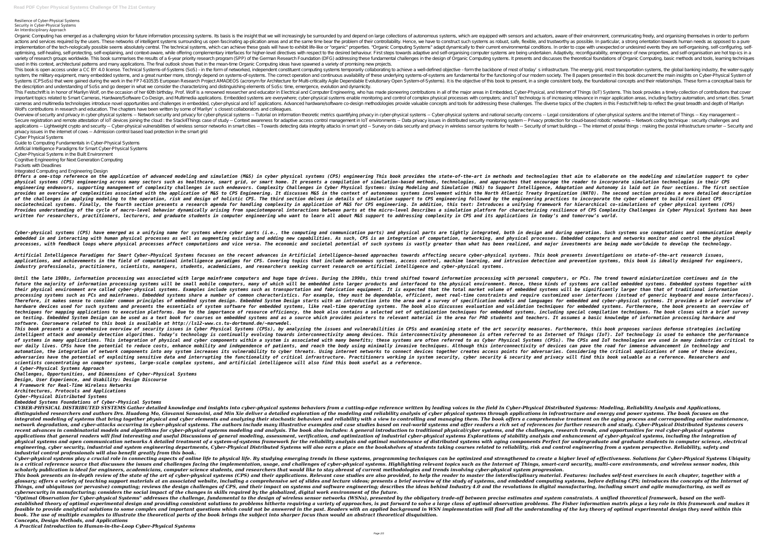#### Resilience of Cyber-Physical Systems Security in Cyber-Physical Systems An Interdisciplinary Approach

Organic Computing has emerged as a challenging vision for future information processing systems. Its basis is the insight that we will increasingly be surrounded by and depend on large collections of autonomous systems, wh actions and services required by the users. These networks of intelligent systems surrounding us open fascinating ap-plication areas and at the same time bear the problem of their controllability. Hence, we have to constru implementation of the tech-nologically possible seems absolutely central. The technical systems, which can achieve these goals will have to exhibit life-like or "organic" properties. "Organic" properties adapt dynamically optimising, self-healing, self-protecting, self-explaining, and context-aware, while offering complementary interfaces for higher-level directives with respect to the desired behaviour. First steps towards adaptive and sel variety of research groups worldwide. This book summarises the results of a 6-year priority research program (SPP) of the German Research Foundation (DFG) addressing these fundamental challenges in the design of Organic Co used in this context, architectural patterns and many applications. The final outlook shows that in the mean-time Organic Computing ideas have spawned a variety of promising new projects. This book is open access under a CC BY 4.0 license. Technical Systems-of-Systems (SoS) – in the form of networked, independent computing systems temporarily collaborating to achieve a well-defined objective – form the back system, the military equipment, many embedded systems, and a great number more, strongly depend on systems-of-systems. The correct operation and continuous availability of these underlying systems-of-systems are fundamenta Systems (CPSoSs) that were gained during the work in the FP7-610535 European Research Project AMADEOS (acronym for Architecture for Multi-criticality Agile Dependable Evolutionary Open System-of-Systems). It is the objecti the description and understanding of SoSs and go deeper in what we consider the characterizing and distinguishing elements of SoSs: time, emergence, evolution and dynamicity. This Festschrift is in honor of Marilyn Wolf, on the occasion of her 60th birthday. Prof. Wolf is a renowned researcher and educator in Electrical and Computer Engineering, who has made pioneering, who has made pioneering, important topics related to Smart Cameras, Hardware Software Co-Design, and Multimedia applications. Embedded systems are everywhere; cyber-physical processes with computers; and IoT technology is of increasing relevance i cameras and multimedia technologies introduce novel opportunities and challenges in embedded, cyber-physical and IoT applications. Advanced hardware/software co-design methodologies provide valuable concepts and tools for Wolf's contributions in research and education. The chapters have been written by some of Marilyn's closest collaborators and colleagues. Overview of security and privacy in cyber-physical systems -- Network security and privacy for cyber-physical systems -- Tutorial on information theoretic metrics quantifying privacy in cyber-physical systems -- Legal cons Secure registration and remote attestation of IoT devices joining the cloud : the Stack4Things case of study -- Context awareness for adaptive access control management in IoT environments -- Data privacy protection for cl applications -- Lightweight crypto and security -- Cyber-physical vulnerabilities of wireless sensor networks in smart cities -- Towards detecting data integrity and privacy in wireless sensor systems for health -- Securit privacy issues in the internet of cows -- Admission control based load protection in the smart grid Cyber Physical Systems

Artificial Intelligence Paradigms for Smart Cyber-Physical Systems focuses on the recent advances in Artificial intelligence-based approaches towards affecting secure cyber-physical systems. This book presents investigatio applications, and achievements in the field of computational intelligence paradigms for CPS. Covering topics that include autonomous systems, access control, machine learning, and intrusion detection and prevention systems *industry professionals, practitioners, scientists, managers, students, academicians, and researchers seeking current research on artificial intelligence and cyber-physical systems.*

Guide to Computing Fundamentals in Cyber-Physical Systems

Artificial Intelligence Paradigms for Smart Cyber-Physical Systems

Cyber-Physical Systems in the Built Environment

Cognitive Engineering for Next Generation Computing

Packets with Deadlines

Integrated Computing and Engineering Design

Offers a one-stop reference on the application of advanced modeling and simulation (M&S) in cyber physical systems (CPS) engineering This book provides that aim to elaborate on the modeling and simulation support to cyber physical systems (CPS) engineering across many sectors such as healthcare, smart grid, or smart home. It presents a compilation of simulation-based methods, technologies, and approaches that encourage the reader to incorpo engineering endeavors, supporting management of complexity challenges in such endeavors. Complexity Challenges in Cyber Physical Systems: Using Modeling and Simulation (M&S) to Support Intelligence, Adaptation and Autonomy provides an overview of complexities associated with the application of M&S to CPS Engineering. It discusses M&S in the context of autonomous systems involvement within the North Atlantic Treaty Organization (NATO). The se of the challenges in applying modeling to the operation, risk and design of holistic CPS. The third section delves in details of simulation support to CPS engineering followed by the engineering practices to incorporate th sociotechnical systems. Finally, the fourth section presents a research agenda for handling complexity in application, this text: Introduces a unifying framework for hierarchical co-simulations of cyber physical systems (C Provides understanding of the cycle of macro-level behavior dynamically arising from spaciotemporal interactions between parts at the micro-level Describes a simulation platform for characterizing resilience of CPS Complex written for researchers, practitioners, lecturers, and graduate students in computer engineering who want to learn all about M&S support to addressing complexity in CPS and its applications in today's and tomorrow's world.

Cyber-physical systems (CPS) have emerged as a unifying name for systems where cyber parts (i.e., the computing and communication parts) and physical parts are tightly integrated, both in design and during operation. Such embedded in and interacting with human physical processes as well as augmenting existing and adding new capabilities. As such, CPS is an integration, networking, and physical processes. Embedded computers and networks moni processes, with feedback loops where physical processes affect computations and vice versa. The economic and societal potential of such systems is vastly greater than what has been realized, and major investments are being

Until the late 1980s, information processing was associated with large mainframe computers and huge tape drives. During the 1990s, this trend shifted toward information processing with personal computers, or PCs. The trend future the majority of information processing systems will be small mobile computers, many of which will be embedded into larger products and interfaced to the physical environment. Hence, these kinds of systems are called their physical environment are called cyber-physical systems. Examples include systems such as transportation and fabrication and fabrication and fabrication equipment. It is expected that the total market volume of embedd processing systems such as PCs and mainframes. Embedded systems share a number of common characteristics. For example, they must be dependable, efficient, meet real-time constraints and require customized user interfaces ( Therefore, it makes sense to consider common principles of embedded system design. Embedded System Design starts with an introduction into the area and a survey of specification models and languages for embedded and cyberhardware devices used for such systems and presents the essentials of system software for embedded systems, like real-time operating systems. The book also discusses evaluation and validation techniques for embedded system techniques for mapping applications to execution platforms. Due to the importance of resource efficiency, the book also contains a selected set of optimization techniques, including special compilation techniques. The book on testing. Embedded System Design can be used as a text book for courses on embedded systems and as a source which provides pointers to relevant material in the area for PhD students and teachers. It assumes a basic knowl *software. Courseware related to this book is available at http://ls12-www.cs.tu-dortmund.de/~marwedel.* This book presents a comprehensive overview of security issues in Cyber Physical Systems (CPSs), by analyzing the issues and vulnerabilities in CPSs and examining state of the art security measures. Furthermore, this book intelligent attack and anomaly detection algorithms. Today's technology is continually evolving towards interconnectivity phenomenon is often referred to as Internet of Things (IoT). IoT technology is used to enhance the p of systems in many applications. This integration of physical and cyber components within a system is associated with many benefits; these systems are often referred to as Cyber Physical Systems (CPSs). The CPSs and IoT te our daily lives. CPSs have the potential to reduce costs, enhance mobility and independence of patients, and reach the body using minimally invasive techniques. Although this interconnectivity of devices can pave the road automation, the integration of network components into any system increases its vulnerability to cyber threats. Using internet networks to connect devices fogether creates access points for adversaries. Considering the cri adversaries have the potential of exploiting sensitive data and interrupting the functionality of critical infrastructure. Practitioners working in system security, cyber security and privacy will find this book valuable a *scientists concentrating on computer systems, large-scale complex systems, and artificial intelligence will also find this book useful as a reference. A Cyber-Physical Systems Approach*

CYBER-PHYSICAL DISTRIBUTED SYSTEMS Gather detailed knowledge and insights into cyber-physical systems behaviors from a cutting-edge reference written by leading voices in the field In Cyber-Physical Distributed Systems: Mo distinguished researchers and authors Drs. Huadong Mo, Giovanni Sansavini, and Min Xie deliver a detailed exploration of the modeling and reliability analysis of cyber physical systems through applications in infrastructur integrated modeling of systems that bring together physical and cyber elements and analyzing their stochastic behaviors and reliability with a view to controlling and managing them. The book offers a comprehensive treatmen network degradation, and cyber-attacks occurring in cyber-physical systems. The authors include many illustrative examples and case studies based on real-world systems and offer readers a rich set of references for further recent advances in combinatorial models and algorithms for cyber-physical systems modeling and analysis. The book also includes: A general introduction to traditional physical/cyber systems, and the challenges, research tr applications that general readers will find interesting and useful Discussions of general modeling, assessment, verification, and optimization of stability analysis and enhancement of cyber-physical systems, including the physical systems and open communication networks A detailed treatment of a system-of-systems framework for the reliability analysis and optimal maintenance of distributed systems with aging components Perfect for undergrad engineering, cyber security, industrial and system engineering departments, Cyber-Physical Distributed Systems will also earn a place on the bookshelves of students taking courses related to reliability, risk and control e *industrial control professionals will also benefit greatly from this book.*

Cyber-physical systems play a crucial role in connecting aspects of online life to physical life. By studying emerging trends in these systems, programming techniques can be optimized and strengthened to create a higher le is a critical reference source that discusses the issues and challenges facing the implementation, usage, and challenges of cyber-physical systems. Highlighting relevant topics such as the Internet of Things, smart-card se *scholarly publication is ideal for engineers, academicians, computer science students, and researchers that would like to stay abreast of current methodologies and trends involving cyber-physical system progression.* This book presents an in-depth review of the state of the art of cyber-physical systems (CPS) and their applications. Relevant case studies are also provided, to help the reader to master the interdisciplinary material. Fe glossary; offers a variety of teaching support materials at an associated website, including a comprehensive set of slides and lecture videos; presents a brief overview of the study of systems, and embedded computing syste Things, and ubiquitous (or pervasive) computing; reviews the design challenges of CPS, and their impact on systems and software engineering; describes the ideas behind Industry 4.0 and the revolutions in digital manufactur *cybersecurity in manufacturing; considers the social impact of the changes in skills required by the globalized, digital work environment of the future.* "Optimal Observation for Cyber-physical Systems" addresses the challenge, fundamental to the design of wireless sensor networks (WSNs), presented by the obligatory trade-off between precise estimates and system constraints established theory of optimal experimental design and providing consistent solutions to problems hitherto requiring a variety of approaches, is put forward to solve a large class of optimal observation problems. The Fisher feasible to provide analytical solutions to some complex and important questions which could not be answered in the past. Readers with an applied background in WSN implementation will find all the understanding of the key *book. The use of multiple examples to illustrate the theoretical parts of the book brings the subject into sharper focus than would an abstract theoretical disquisition. Concepts, Design Methods, and Applications*

*Challenges, Opportunities, and Dimensions of Cyber-Physical Systems*

*Design, User Experience, and Usability: Design Discourse*

*A Framework for Real-Time Wireless Networks*

*Architectures, Protocols and Applications*

*Cyber-Physical Distributed Systems*

*Embedded Systems Foundations of Cyber-Physical Systems*

*A Practical Introduction to Human-in-the-Loop Cyber-Physical Systems*